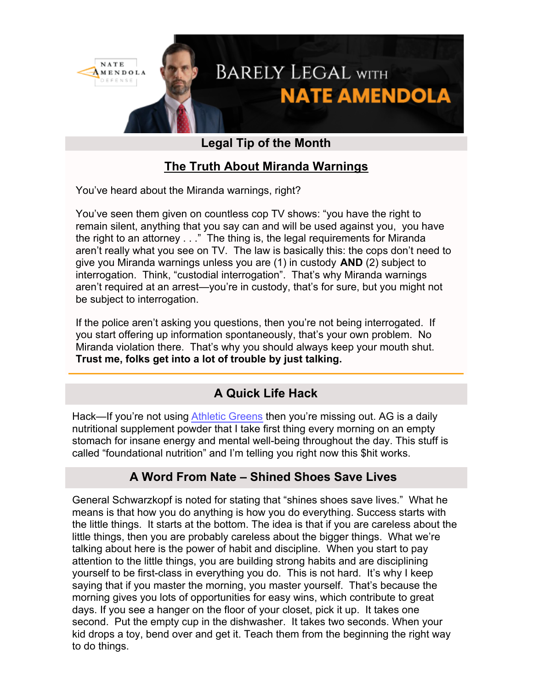

# **Legal Tip of the Month**

# **The Truth About Miranda Warnings**

You've heard about the Miranda warnings, right?

You've seen them given on countless cop TV shows: "you have the right to remain silent, anything that you say can and will be used against you, you have the right to an attorney . . ." The thing is, the legal requirements for Miranda aren't really what you see on TV. The law is basically this: the cops don't need to give you Miranda warnings unless you are (1) in custody **AND** (2) subject to interrogation. Think, "custodial interrogation". That's why Miranda warnings aren't required at an arrest—you're in custody, that's for sure, but you might not be subject to interrogation.

If the police aren't asking you questions, then you're not being interrogated. If you start offering up information spontaneously, that's your own problem. No Miranda violation there. That's why you should always keep your mouth shut. **Trust me, folks get into a lot of trouble by just talking.** 

# **A Quick Life Hack**

Hack—If you're not using [Athletic Greens](https://athleticgreens.com/en?~tracking_information~) then you're missing out. AG is a daily nutritional supplement powder that I take first thing every morning on an empty stomach for insane energy and mental well-being throughout the day. This stuff is called "foundational nutrition" and I'm telling you right now this \$hit works.

# **A Word From Nate – Shined Shoes Save Lives**

General Schwarzkopf is noted for stating that "shines shoes save lives." What he means is that how you do anything is how you do everything. Success starts with the little things. It starts at the bottom. The idea is that if you are careless about the little things, then you are probably careless about the bigger things. What we're talking about here is the power of habit and discipline. When you start to pay attention to the little things, you are building strong habits and are disciplining yourself to be first-class in everything you do. This is not hard. It's why I keep saying that if you master the morning, you master yourself. That's because the morning gives you lots of opportunities for easy wins, which contribute to great days. If you see a hanger on the floor of your closet, pick it up. It takes one second. Put the empty cup in the dishwasher. It takes two seconds. When your kid drops a toy, bend over and get it. Teach them from the beginning the right way to do things.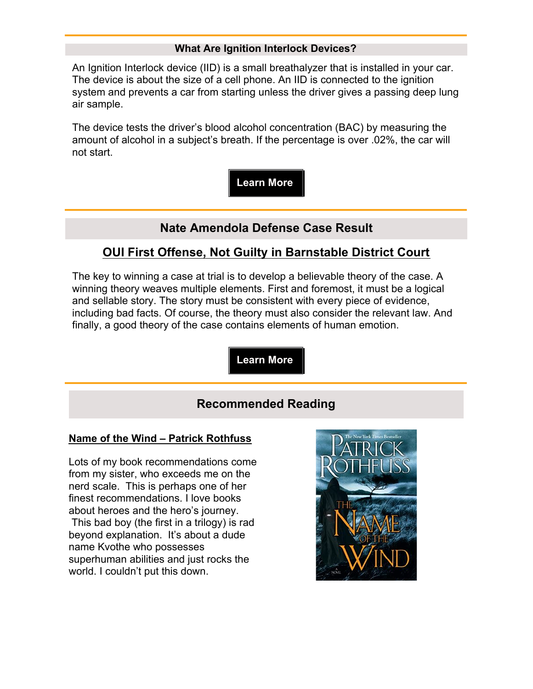#### **What Are Ignition Interlock Devices?**

An Ignition Interlock device (IID) is a small breathalyzer that is installed in your car. The device is about the size of a cell phone. An IID is connected to the ignition system and prevents a car from starting unless the driver gives a passing deep lung air sample.

The device tests the driver's blood alcohol concentration (BAC) by measuring the amount of alcohol in a subject's breath. If the percentage is over .02%, the car will not start.

**Learn More**

### **Nate Amendola Defense Case Result**

### **OUI First Offense, Not Guilty in Barnstable District Court**

The key to winning a case at trial is to develop a believable theory of the case. A winning theory weaves multiple elements. First and foremost, it must be a logical and sellable story. The story must be consistent with every piece of evidence, including bad facts. Of course, the theory must also consider the relevant law. And finally, a good theory of the case contains elements of human emotion.

**Learn More**

#### **Recommended Reading**

#### **Name of the Wind – Patrick Rothfuss**

Lots of my book recommendations come from my sister, who exceeds me on the nerd scale. This is perhaps one of her finest recommendations. I love books about heroes and the hero's journey. This bad boy (the first in a trilogy) is rad beyond explanation. It's about a dude name Kvothe who possesses

superhuman abilities and just rocks the world. I couldn't put this down.